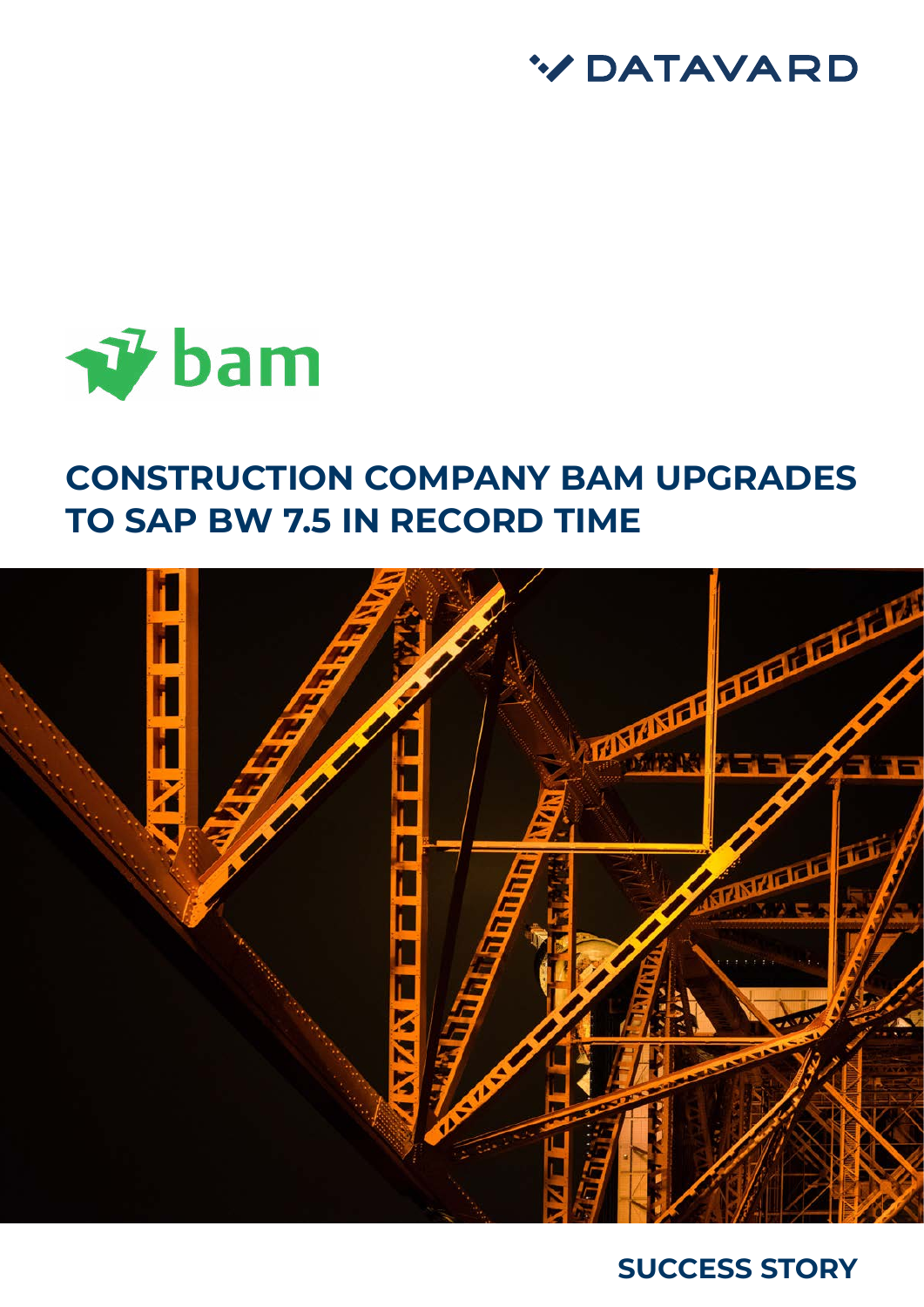



# **CONSTRUCTION COMPANY BAM UPGRADES TO SAP BW 7.5 IN RECORD TIME**



## **SUCCESS STORY**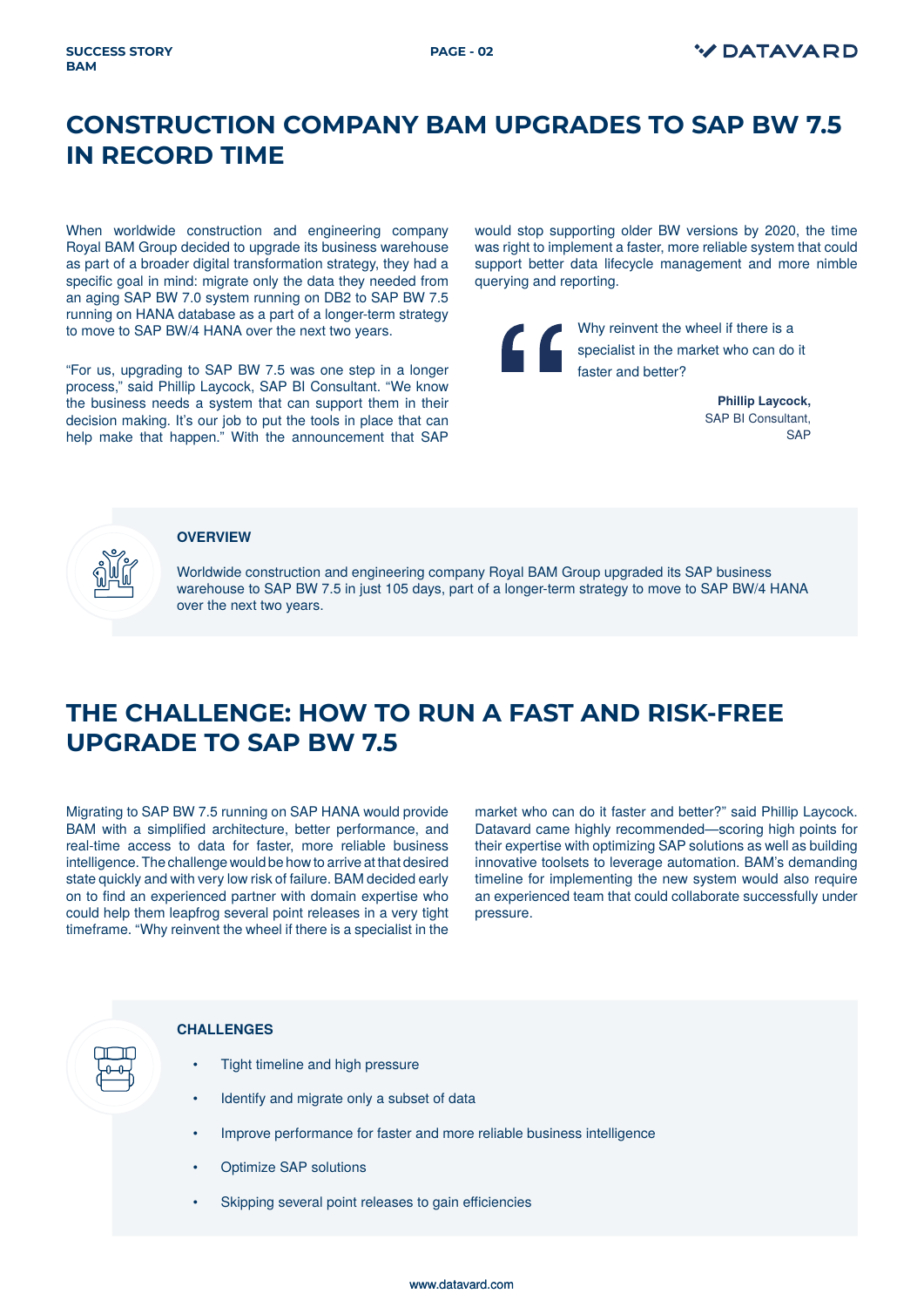### **CONSTRUCTION COMPANY BAM UPGRADES TO SAP BW 7.5 IN RECORD TIME**

When worldwide construction and engineering company Royal BAM Group decided to upgrade its business warehouse as part of a broader digital transformation strategy, they had a specific goal in mind: migrate only the data they needed from an aging SAP BW 7.0 system running on DB2 to SAP BW 7.5 running on HANA database as a part of a longer-term strategy to move to SAP BW/4 HANA over the next two years.

"For us, upgrading to SAP BW 7.5 was one step in a longer process," said Phillip Laycock, SAP BI Consultant. "We know the business needs a system that can support them in their decision making. It's our job to put the tools in place that can help make that happen." With the announcement that SAP would stop supporting older BW versions by 2020, the time was right to implement a faster, more reliable system that could support better data lifecycle management and more nimble querying and reporting.

Why reinvent the wheel if there is a specialist in the market who can do it faster and better?

> **Phillip Laycock,**  SAP BI Consultant, **SAP**



#### **OVERVIEW**

Worldwide construction and engineering company Royal BAM Group upgraded its SAP business warehouse to SAP BW 7.5 in just 105 days, part of a longer-term strategy to move to SAP BW/4 HANA over the next two years.

#### **THE CHALLENGE: HOW TO RUN A FAST AND RISK-FREE UPGRADE TO SAP BW 7.5**

Migrating to SAP BW 7.5 running on SAP HANA would provide BAM with a simplified architecture, better performance, and real-time access to data for faster, more reliable business intelligence. The challenge would be how to arrive at that desired state quickly and with very low risk of failure. BAM decided early on to find an experienced partner with domain expertise who could help them leapfrog several point releases in a very tight timeframe. "Why reinvent the wheel if there is a specialist in the

market who can do it faster and better?" said Phillip Laycock. Datavard came highly recommended—scoring high points for their expertise with optimizing SAP solutions as well as building innovative toolsets to leverage automation. BAM's demanding timeline for implementing the new system would also require an experienced team that could collaborate successfully under pressure.



#### **CHALLENGES**

- Tight timeline and high pressure
- Identify and migrate only a subset of data
- Improve performance for faster and more reliable business intelligence
- Optimize SAP solutions
- Skipping several point releases to gain efficiencies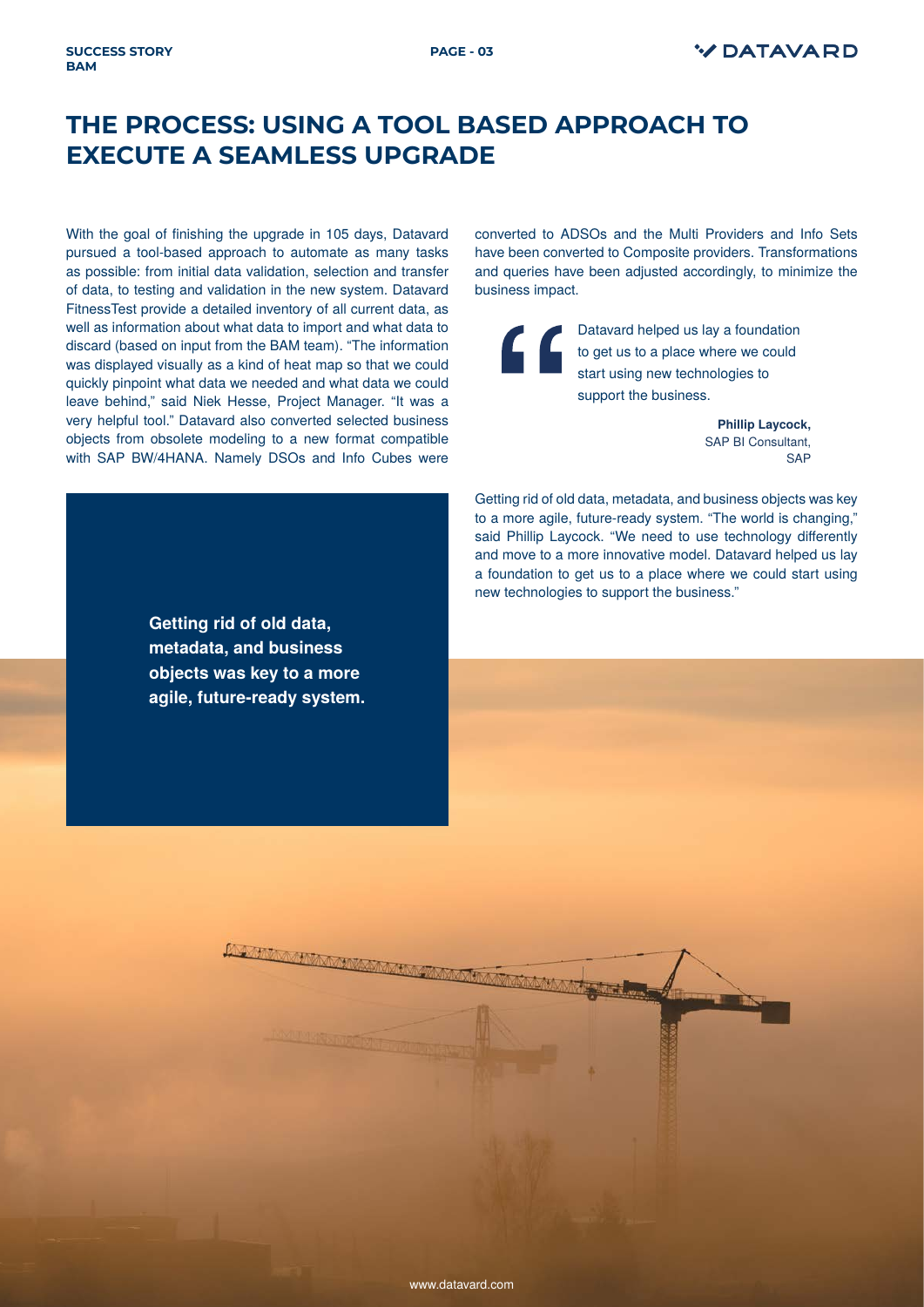#### **THE PROCESS: USING A TOOL BASED APPROACH TO EXECUTE A SEAMLESS UPGRADE**

With the goal of finishing the upgrade in 105 days, Datavard pursued a tool-based approach to automate as many tasks as possible: from initial data validation, selection and transfer of data, to testing and validation in the new system. Datavard FitnessTest provide a detailed inventory of all current data, as well as information about what data to import and what data to discard (based on input from the BAM team). "The information was displayed visually as a kind of heat map so that we could quickly pinpoint what data we needed and what data we could leave behind," said Niek Hesse, Project Manager. "It was a very helpful tool." Datavard also converted selected business objects from obsolete modeling to a new format compatible with SAP BW/4HANA. Namely DSOs and Info Cubes were

**SUCCESS STORY** 

**BAM**

converted to ADSOs and the Multi Providers and Info Sets have been converted to Composite providers. Transformations and queries have been adjusted accordingly, to minimize the business impact.

Datavard helped us lay a foundation **to get us to a place where we could** start using new technologies to support the business.

> **Phillip Laycock,**  SAP BI Consultant, **SAP**

Getting rid of old data, metadata, and business objects was key to a more agile, future-ready system. "The world is changing," said Phillip Laycock. "We need to use technology differently and move to a more innovative model. Datavard helped us lay a foundation to get us to a place where we could start using new technologies to support the business."

**Getting rid of old data, metadata, and business objects was key to a more agile, future-ready system.** 

[www.datavard.com](http://www.datavard.com/en/home-8-2/)